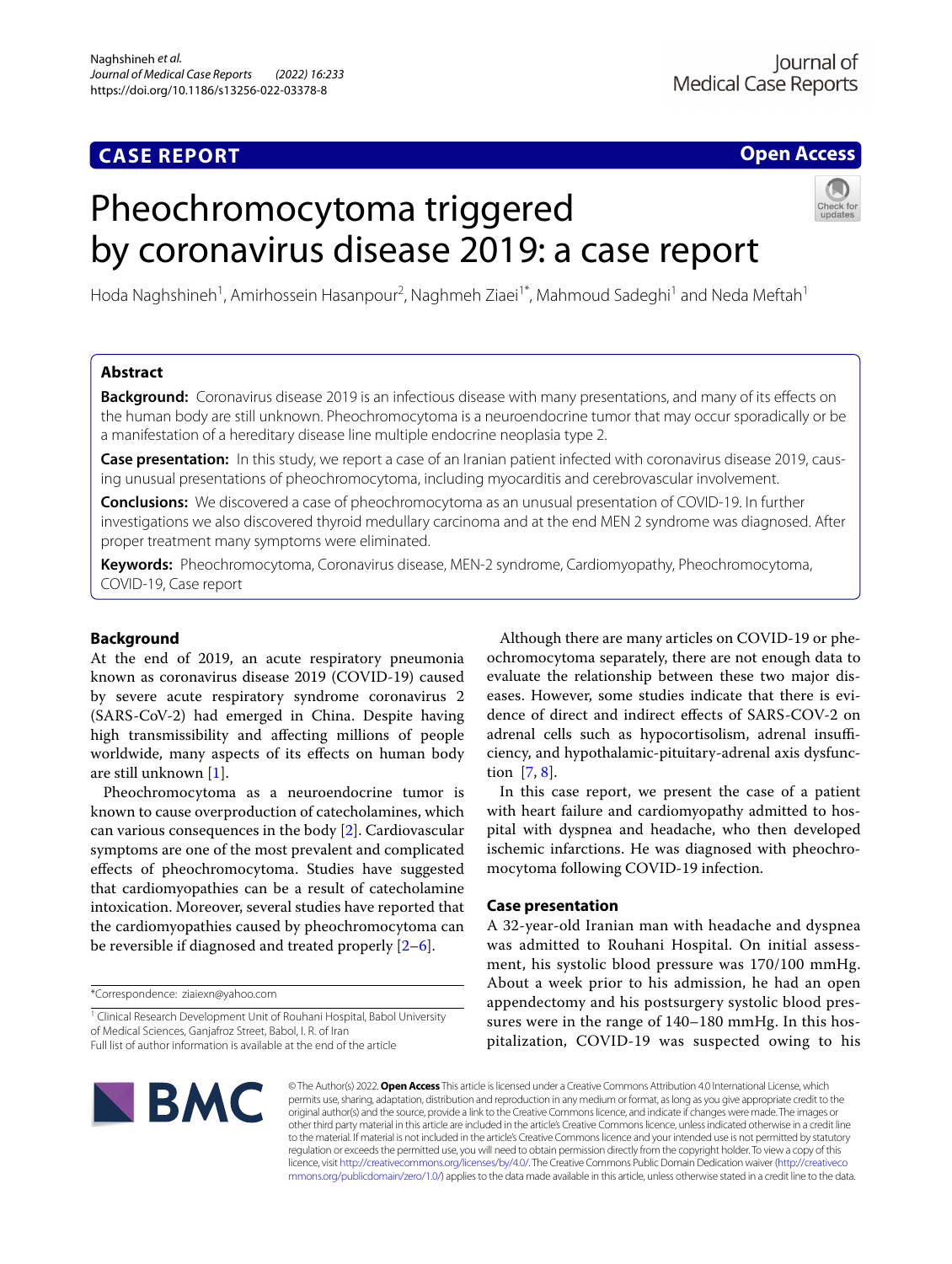## **CASE REPORT**

## **Open Access**

# Pheochromocytoma triggered by coronavirus disease 2019: a case report



Hoda Naghshineh<sup>1</sup>, Amirhossein Hasanpour<sup>2</sup>, Naghmeh Ziaei<sup>1\*</sup>, Mahmoud Sadeghi<sup>1</sup> and Neda Meftah<sup>1</sup>

## **Abstract**

**Background:** Coronavirus disease 2019 is an infectious disease with many presentations, and many of its efects on the human body are still unknown. Pheochromocytoma is a neuroendocrine tumor that may occur sporadically or be a manifestation of a hereditary disease line multiple endocrine neoplasia type 2.

**Case presentation:** In this study, we report a case of an Iranian patient infected with coronavirus disease 2019, causing unusual presentations of pheochromocytoma, including myocarditis and cerebrovascular involvement.

**Conclusions:** We discovered a case of pheochromocytoma as an unusual presentation of COVID-19. In further investigations we also discovered thyroid medullary carcinoma and at the end MEN 2 syndrome was diagnosed. After proper treatment many symptoms were eliminated.

**Keywords:** Pheochromocytoma, Coronavirus disease, MEN-2 syndrome, Cardiomyopathy, Pheochromocytoma, COVID-19, Case report

## **Background**

At the end of 2019, an acute respiratory pneumonia known as coronavirus disease 2019 (COVID-19) caused by severe acute respiratory syndrome coronavirus 2 (SARS-CoV-2) had emerged in China. Despite having high transmissibility and afecting millions of people worldwide, many aspects of its efects on human body are still unknown [[1\]](#page-4-0).

Pheochromocytoma as a neuroendocrine tumor is known to cause overproduction of catecholamines, which can various consequences in the body [\[2](#page-4-1)]. Cardiovascular symptoms are one of the most prevalent and complicated efects of pheochromocytoma. Studies have suggested that cardiomyopathies can be a result of catecholamine intoxication. Moreover, several studies have reported that the cardiomyopathies caused by pheochromocytoma can be reversible if diagnosed and treated properly  $[2-6]$  $[2-6]$ .

\*Correspondence: ziaiexn@yahoo.com

<sup>1</sup> Clinical Research Development Unit of Rouhani Hospital, Babol University of Medical Sciences, Ganjafroz Street, Babol, I. R. of Iran Full list of author information is available at the end of the article

Although there are many articles on COVID-19 or pheochromocytoma separately, there are not enough data to evaluate the relationship between these two major diseases. However, some studies indicate that there is evidence of direct and indirect efects of SARS-COV-2 on adrenal cells such as hypocortisolism, adrenal insufficiency, and hypothalamic-pituitary-adrenal axis dysfunction [\[7,](#page-4-3) [8](#page-4-4)].

In this case report, we present the case of a patient with heart failure and cardiomyopathy admitted to hospital with dyspnea and headache, who then developed ischemic infarctions. He was diagnosed with pheochromocytoma following COVID-19 infection.

## **Case presentation**

A 32-year-old Iranian man with headache and dyspnea was admitted to Rouhani Hospital. On initial assessment, his systolic blood pressure was 170/100 mmHg. About a week prior to his admission, he had an open appendectomy and his postsurgery systolic blood pressures were in the range of 140–180 mmHg. In this hospitalization, COVID-19 was suspected owing to his



© The Author(s) 2022. **Open Access** This article is licensed under a Creative Commons Attribution 4.0 International License, which permits use, sharing, adaptation, distribution and reproduction in any medium or format, as long as you give appropriate credit to the original author(s) and the source, provide a link to the Creative Commons licence, and indicate if changes were made. The images or other third party material in this article are included in the article's Creative Commons licence, unless indicated otherwise in a credit line to the material. If material is not included in the article's Creative Commons licence and your intended use is not permitted by statutory regulation or exceeds the permitted use, you will need to obtain permission directly from the copyright holder. To view a copy of this licence, visit [http://creativecommons.org/licenses/by/4.0/.](http://creativecommons.org/licenses/by/4.0/) The Creative Commons Public Domain Dedication waiver ([http://creativeco](http://creativecommons.org/publicdomain/zero/1.0/) [mmons.org/publicdomain/zero/1.0/](http://creativecommons.org/publicdomain/zero/1.0/)) applies to the data made available in this article, unless otherwise stated in a credit line to the data.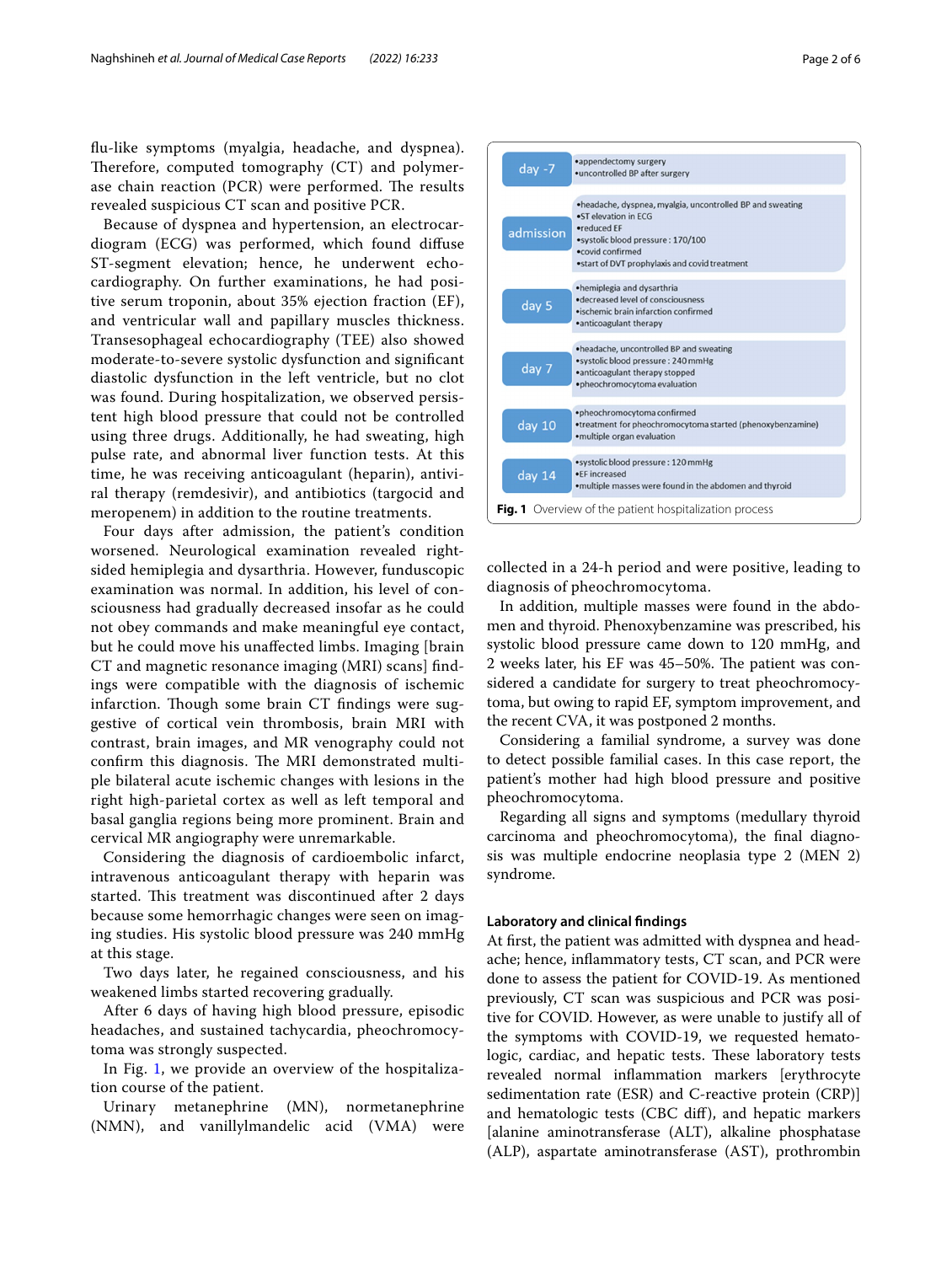fu-like symptoms (myalgia, headache, and dyspnea). Therefore, computed tomography (CT) and polymerase chain reaction (PCR) were performed. The results revealed suspicious CT scan and positive PCR.

Because of dyspnea and hypertension, an electrocardiogram (ECG) was performed, which found difuse ST-segment elevation; hence, he underwent echocardiography. On further examinations, he had positive serum troponin, about 35% ejection fraction (EF), and ventricular wall and papillary muscles thickness. Transesophageal echocardiography (TEE) also showed moderate-to-severe systolic dysfunction and signifcant diastolic dysfunction in the left ventricle, but no clot was found. During hospitalization, we observed persistent high blood pressure that could not be controlled using three drugs. Additionally, he had sweating, high pulse rate, and abnormal liver function tests. At this time, he was receiving anticoagulant (heparin), antiviral therapy (remdesivir), and antibiotics (targocid and meropenem) in addition to the routine treatments.

Four days after admission, the patient's condition worsened. Neurological examination revealed rightsided hemiplegia and dysarthria. However, funduscopic examination was normal. In addition, his level of consciousness had gradually decreased insofar as he could not obey commands and make meaningful eye contact, but he could move his unafected limbs. Imaging [brain CT and magnetic resonance imaging (MRI) scans] fndings were compatible with the diagnosis of ischemic infarction. Though some brain CT findings were suggestive of cortical vein thrombosis, brain MRI with contrast, brain images, and MR venography could not confirm this diagnosis. The MRI demonstrated multiple bilateral acute ischemic changes with lesions in the right high-parietal cortex as well as left temporal and basal ganglia regions being more prominent. Brain and cervical MR angiography were unremarkable.

Considering the diagnosis of cardioembolic infarct, intravenous anticoagulant therapy with heparin was started. This treatment was discontinued after 2 days because some hemorrhagic changes were seen on imaging studies. His systolic blood pressure was 240 mmHg at this stage.

Two days later, he regained consciousness, and his weakened limbs started recovering gradually.

After 6 days of having high blood pressure, episodic headaches, and sustained tachycardia, pheochromocytoma was strongly suspected.

In Fig. [1,](#page-1-0) we provide an overview of the hospitalization course of the patient.

Urinary metanephrine (MN), normetanephrine (NMN), and vanillylmandelic acid (VMA) were

| $day -7$  | ·appendectomy surgery<br>•uncontrolled BP after surgery                                                                                                                                                    |
|-----------|------------------------------------------------------------------------------------------------------------------------------------------------------------------------------------------------------------|
| admission | .headache, dyspnea, myalgia, uncontrolled BP and sweating<br>.ST elevation in ECG<br>•reduced EF<br>·systolic blood pressure: 170/100<br>.covid confirmed<br>.start of DVT prophylaxis and covid treatment |
| day 5     | •hemiplegia and dysarthria<br>.decreased level of consciousness<br>·ischemic brain infarction confirmed<br>•anticoagulant therapy                                                                          |
| day 7     | •headache, uncontrolled BP and sweating<br>·systolic blood pressure: 240 mmHg<br>•anticoagulant therapy stopped<br>·pheochromocytoma evaluation                                                            |
| day 10    | ·pheochromocytoma confirmed<br>•treatment for pheochromocytoma started (phenoxybenzamine)<br>·multiple organ evaluation                                                                                    |
| day 14    | •systolic blood pressure: 120 mmHg<br>.FF increased<br>.multiple masses were found in the abdomen and thyroid                                                                                              |
|           | <b>Fig. 1</b> Overview of the patient hospitalization process                                                                                                                                              |

<span id="page-1-0"></span>collected in a 24-h period and were positive, leading to diagnosis of pheochromocytoma.

In addition, multiple masses were found in the abdomen and thyroid. Phenoxybenzamine was prescribed, his systolic blood pressure came down to 120 mmHg, and 2 weeks later, his EF was 45–50%. The patient was considered a candidate for surgery to treat pheochromocytoma, but owing to rapid EF, symptom improvement, and the recent CVA, it was postponed 2 months.

Considering a familial syndrome, a survey was done to detect possible familial cases. In this case report, the patient's mother had high blood pressure and positive pheochromocytoma.

Regarding all signs and symptoms (medullary thyroid carcinoma and pheochromocytoma), the fnal diagnosis was multiple endocrine neoplasia type 2 (MEN 2) syndrome.

#### **Laboratory and clinical fndings**

At frst, the patient was admitted with dyspnea and headache; hence, infammatory tests, CT scan, and PCR were done to assess the patient for COVID-19. As mentioned previously, CT scan was suspicious and PCR was positive for COVID. However, as were unable to justify all of the symptoms with COVID-19, we requested hematologic, cardiac, and hepatic tests. These laboratory tests revealed normal infammation markers [erythrocyte sedimentation rate (ESR) and C-reactive protein (CRP)] and hematologic tests (CBC dif), and hepatic markers [alanine aminotransferase (ALT), alkaline phosphatase (ALP), aspartate aminotransferase (AST), prothrombin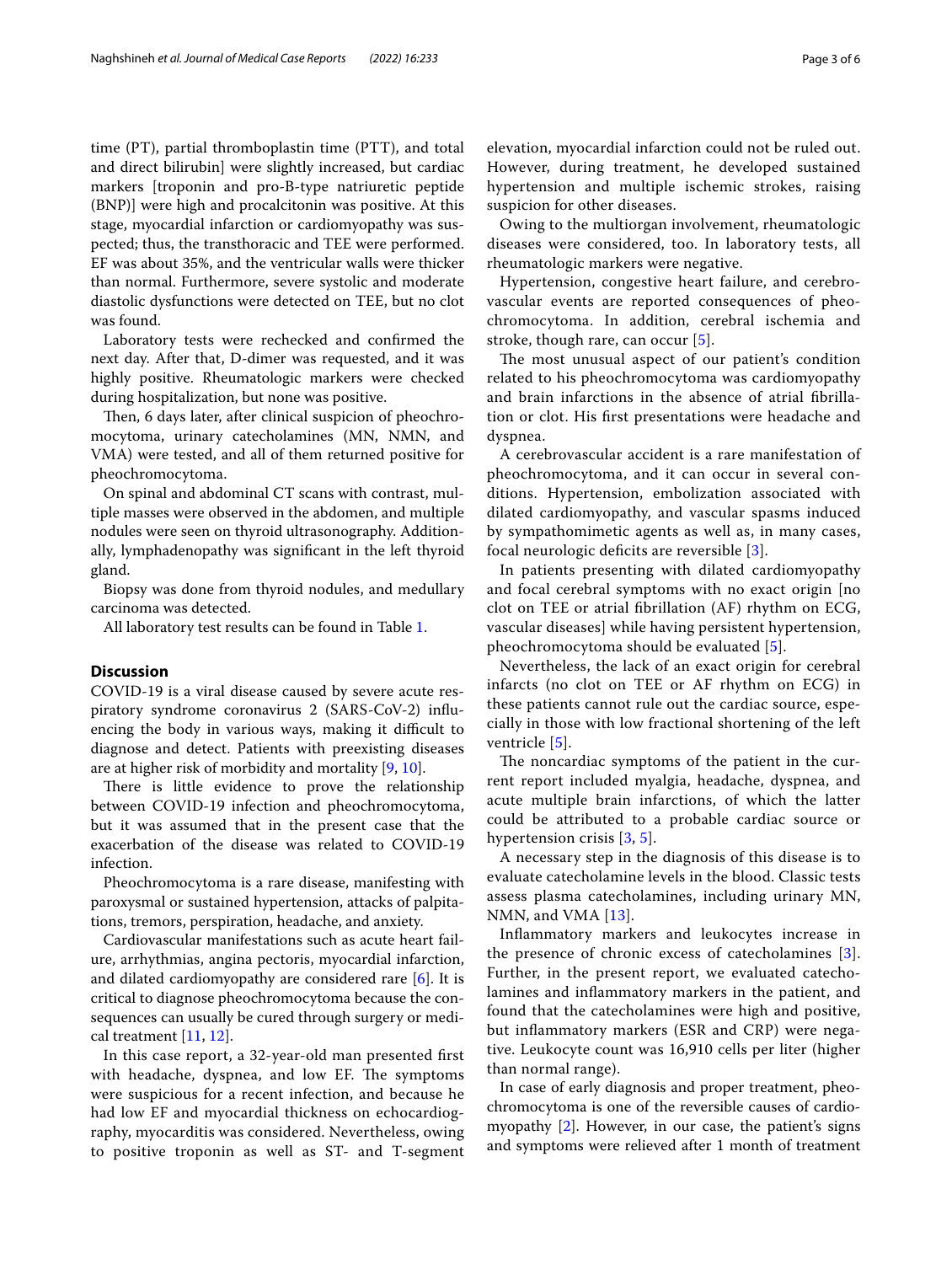time (PT), partial thromboplastin time (PTT), and total and direct bilirubin] were slightly increased, but cardiac markers [troponin and pro-B-type natriuretic peptide (BNP)] were high and procalcitonin was positive. At this stage, myocardial infarction or cardiomyopathy was suspected; thus, the transthoracic and TEE were performed. EF was about 35%, and the ventricular walls were thicker than normal. Furthermore, severe systolic and moderate diastolic dysfunctions were detected on TEE, but no clot was found.

Laboratory tests were rechecked and confrmed the next day. After that, D-dimer was requested, and it was highly positive. Rheumatologic markers were checked during hospitalization, but none was positive.

Then, 6 days later, after clinical suspicion of pheochromocytoma, urinary catecholamines (MN, NMN, and VMA) were tested, and all of them returned positive for pheochromocytoma.

On spinal and abdominal CT scans with contrast, multiple masses were observed in the abdomen, and multiple nodules were seen on thyroid ultrasonography. Additionally, lymphadenopathy was signifcant in the left thyroid gland.

Biopsy was done from thyroid nodules, and medullary carcinoma was detected.

All laboratory test results can be found in Table [1](#page-3-0).

### **Discussion**

COVID-19 is a viral disease caused by severe acute respiratory syndrome coronavirus 2 (SARS-CoV-2) infuencing the body in various ways, making it difficult to diagnose and detect. Patients with preexisting diseases are at higher risk of morbidity and mortality [[9,](#page-4-5) [10](#page-4-6)].

There is little evidence to prove the relationship between COVID-19 infection and pheochromocytoma, but it was assumed that in the present case that the exacerbation of the disease was related to COVID-19 infection.

Pheochromocytoma is a rare disease, manifesting with paroxysmal or sustained hypertension, attacks of palpitations, tremors, perspiration, headache, and anxiety.

Cardiovascular manifestations such as acute heart failure, arrhythmias, angina pectoris, myocardial infarction, and dilated cardiomyopathy are considered rare [\[6](#page-4-2)]. It is critical to diagnose pheochromocytoma because the consequences can usually be cured through surgery or medical treatment [\[11](#page-5-0), [12\]](#page-5-1).

In this case report, a 32-year-old man presented frst with headache, dyspnea, and low EF. The symptoms were suspicious for a recent infection, and because he had low EF and myocardial thickness on echocardiography, myocarditis was considered. Nevertheless, owing to positive troponin as well as ST- and T-segment elevation, myocardial infarction could not be ruled out. However, during treatment, he developed sustained hypertension and multiple ischemic strokes, raising suspicion for other diseases.

Owing to the multiorgan involvement, rheumatologic diseases were considered, too. In laboratory tests, all rheumatologic markers were negative.

Hypertension, congestive heart failure, and cerebrovascular events are reported consequences of pheochromocytoma. In addition, cerebral ischemia and stroke, though rare, can occur [[5\]](#page-4-7).

The most unusual aspect of our patient's condition related to his pheochromocytoma was cardiomyopathy and brain infarctions in the absence of atrial fbrillation or clot. His frst presentations were headache and dyspnea.

A cerebrovascular accident is a rare manifestation of pheochromocytoma, and it can occur in several conditions. Hypertension, embolization associated with dilated cardiomyopathy, and vascular spasms induced by sympathomimetic agents as well as, in many cases, focal neurologic deficits are reversible [\[3](#page-4-8)].

In patients presenting with dilated cardiomyopathy and focal cerebral symptoms with no exact origin [no clot on TEE or atrial fbrillation (AF) rhythm on ECG, vascular diseases] while having persistent hypertension, pheochromocytoma should be evaluated [[5\]](#page-4-7).

Nevertheless, the lack of an exact origin for cerebral infarcts (no clot on TEE or AF rhythm on ECG) in these patients cannot rule out the cardiac source, especially in those with low fractional shortening of the left ventricle [\[5](#page-4-7)].

The noncardiac symptoms of the patient in the current report included myalgia, headache, dyspnea, and acute multiple brain infarctions, of which the latter could be attributed to a probable cardiac source or hypertension crisis [\[3,](#page-4-8) [5](#page-4-7)].

A necessary step in the diagnosis of this disease is to evaluate catecholamine levels in the blood. Classic tests assess plasma catecholamines, including urinary MN, NMN, and VMA [\[13\]](#page-5-2).

Infammatory markers and leukocytes increase in the presence of chronic excess of catecholamines [[3](#page-4-8)]. Further, in the present report, we evaluated catecholamines and infammatory markers in the patient, and found that the catecholamines were high and positive, but infammatory markers (ESR and CRP) were negative. Leukocyte count was 16,910 cells per liter (higher than normal range).

In case of early diagnosis and proper treatment, pheochromocytoma is one of the reversible causes of cardiomyopathy [\[2](#page-4-1)]. However, in our case, the patient's signs and symptoms were relieved after 1 month of treatment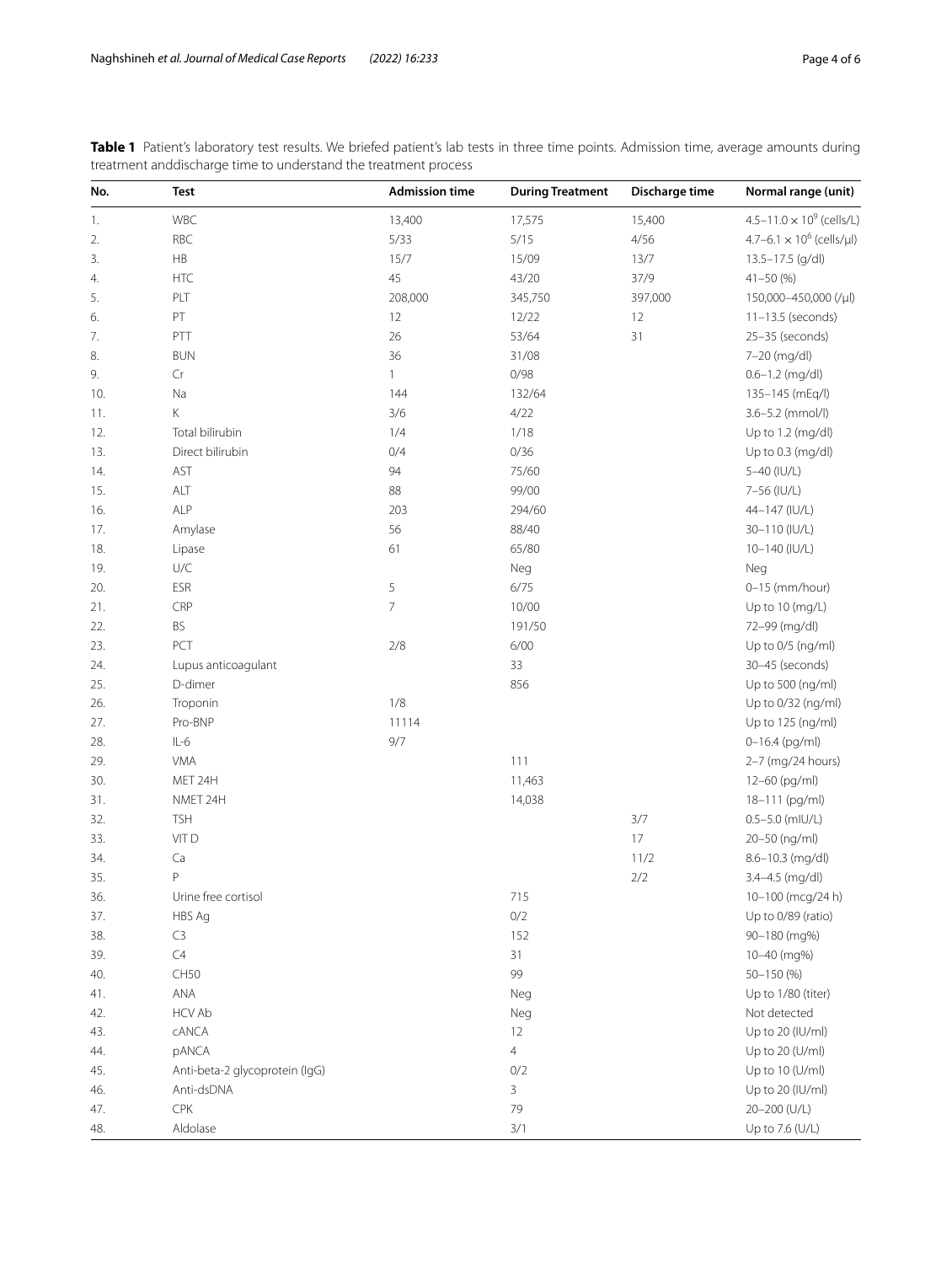<span id="page-3-0"></span>

| Table 1 Patient's laboratory test results. We briefed patient's lab tests in three time points. Admission time, average amounts during |  |  |  |  |  |  |
|----------------------------------------------------------------------------------------------------------------------------------------|--|--|--|--|--|--|
| treatment and discharge time to understand the treatment process                                                                       |  |  |  |  |  |  |

| No. | <b>Test</b>                    | <b>Admission time</b> | <b>During Treatment</b> | Discharge time | Normal range (unit)                         |
|-----|--------------------------------|-----------------------|-------------------------|----------------|---------------------------------------------|
| 1.  | WBC                            | 13,400                | 17,575                  | 15,400         | 4.5-11.0 $\times$ 10 <sup>9</sup> (cells/L) |
| 2.  | <b>RBC</b>                     | 5/33                  | 5/15                    | 4/56           | $4.7 - 6.1 \times 10^6$ (cells/µl)          |
| 3.  | $\mathsf{HB}$                  | 15/7                  | 15/09                   | 13/7           | 13.5-17.5 (g/dl)                            |
| 4.  | HTC                            | 45                    | 43/20                   | 37/9           | $41 - 50(%)$                                |
| 5.  | PLT                            | 208,000               | 345,750                 | 397,000        | 150,000-450,000 (/µl)                       |
| 6.  | $\mathsf{PT}$                  | 12                    | 12/22                   | 12             | $11-13.5$ (seconds)                         |
| 7.  | PTT                            | 26                    | 53/64                   | 31             | 25-35 (seconds)                             |
| 8.  | <b>BUN</b>                     | 36                    | 31/08                   |                | 7-20 (mg/dl)                                |
| 9.  | $\mathsf{Cr}$                  | $\mathbf{1}$          | 0/98                    |                | $0.6 - 1.2$ (mg/dl)                         |
| 10. | Na                             | 144                   | 132/64                  |                | 135-145 (mEq/l)                             |
| 11. | Κ                              | 3/6                   | 4/22                    |                | 3.6-5.2 (mmol/l)                            |
| 12. | Total bilirubin                | 1/4                   | 1/18                    |                | Up to 1.2 (mg/dl)                           |
| 13. | Direct bilirubin               | 0/4                   | 0/36                    |                | Up to 0.3 (mg/dl)                           |
| 14. | AST                            | 94                    | 75/60                   |                | 5-40 (IU/L)                                 |
| 15. | ALT                            | 88                    | 99/00                   |                | 7-56 (IU/L)                                 |
| 16. | <b>ALP</b>                     | 203                   | 294/60                  |                | 44-147 (IU/L)                               |
| 17. | Amylase                        | 56                    | 88/40                   |                | 30-110 (IU/L)                               |
| 18. | Lipase                         | 61                    | 65/80                   |                | 10-140 (IU/L)                               |
| 19. | U/C                            |                       | Neg                     |                | Neg                                         |
| 20. | <b>ESR</b>                     | 5                     | 6/75                    |                | $0-15$ (mm/hour)                            |
| 21. | CRP                            | $\overline{7}$        | 10/00                   |                | Up to 10 (mg/L)                             |
| 22. | BS                             |                       | 191/50                  |                | 72-99 (mg/dl)                               |
| 23. | PCT                            | 2/8                   | 6/00                    |                | Up to 0/5 (ng/ml)                           |
| 24. | Lupus anticoagulant            |                       | 33                      |                | 30-45 (seconds)                             |
| 25. | D-dimer                        |                       | 856                     |                | Up to 500 (ng/ml)                           |
| 26. | Troponin                       | 1/8                   |                         |                | Up to 0/32 (ng/ml)                          |
| 27. | Pro-BNP                        | 11114                 |                         |                | Up to 125 (ng/ml)                           |
| 28. | $IL-6$                         | 9/7                   |                         |                | $0 - 16.4$ (pg/ml)                          |
| 29. | <b>VMA</b>                     |                       | 111                     |                | 2-7 (mg/24 hours)                           |
| 30. | MET 24H                        |                       | 11,463                  |                | 12-60 (pg/ml)                               |
| 31. | NMET 24H                       |                       | 14,038                  |                | 18-111 (pg/ml)                              |
| 32. | <b>TSH</b>                     |                       |                         | 3/7            | $0.5 - 5.0$ (mIU/L)                         |
| 33. | VIT D                          |                       |                         | $17\,$         | 20-50 (ng/ml)                               |
| 34. | Ca                             |                       |                         | 11/2           | 8.6-10.3 (mg/dl)                            |
| 35. | P                              |                       |                         | 2/2            | 3.4-4.5 (mg/dl)                             |
| 36. | Urine free cortisol            |                       | 715                     |                | 10-100 (mcg/24 h)                           |
| 37. | HBS Ag                         |                       | 0/2                     |                | Up to 0/89 (ratio)                          |
| 38. | C3                             |                       | 152                     |                | 90-180 (mg%)                                |
| 39. | $\mathsf{C}4$                  |                       | 31                      |                | 10-40 (mg%)                                 |
| 40. | <b>CH50</b>                    |                       | 99                      |                | 50-150 (%)                                  |
| 41. | ANA                            |                       | Neg                     |                | Up to 1/80 (titer)                          |
| 42. | <b>HCV Ab</b>                  |                       | Neg                     |                | Not detected                                |
| 43. | <b>CANCA</b>                   |                       | 12                      |                | Up to 20 (IU/ml)                            |
| 44. | pANCA                          |                       | $\overline{4}$          |                | Up to 20 (U/ml)                             |
| 45. | Anti-beta-2 glycoprotein (IgG) |                       | 0/2                     |                | Up to 10 (U/ml)                             |
| 46. | Anti-dsDNA                     |                       | 3                       |                | Up to 20 (IU/ml)                            |
| 47. | CPK                            |                       | 79                      |                | 20-200 (U/L)                                |
| 48. | Aldolase                       |                       | 3/1                     |                | Up to 7.6 (U/L)                             |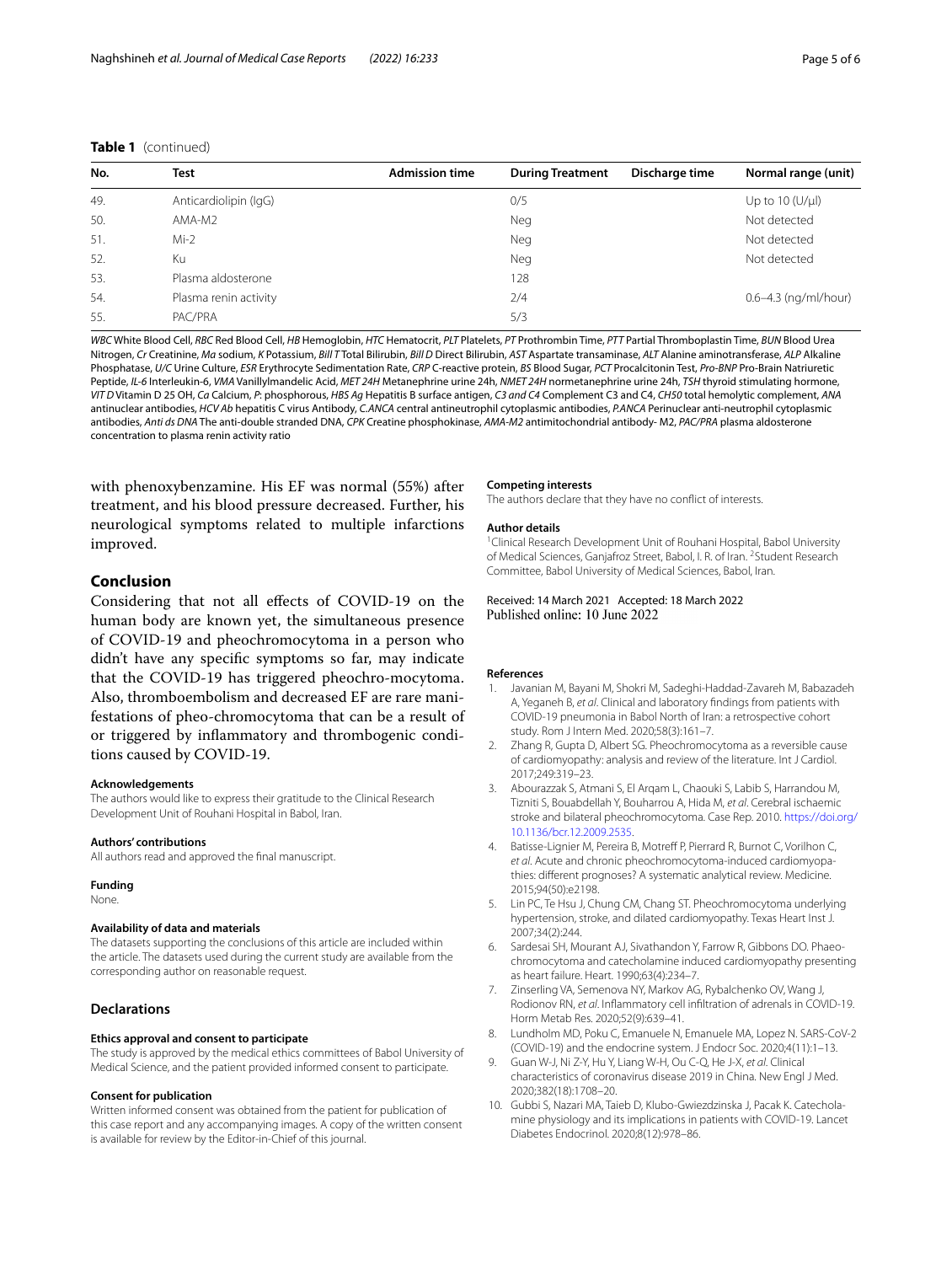## **Table 1** (continued)

| No. | Test                  | <b>Admission time</b> | <b>During Treatment</b> | Discharge time | Normal range (unit)      |
|-----|-----------------------|-----------------------|-------------------------|----------------|--------------------------|
| 49. | Anticardiolipin (IgG) |                       | 0/5                     |                | Up to 10 $(U/\mu I)$     |
| 50. | AMA-M2                |                       | Neg                     |                | Not detected             |
| 51. | $Mi-2$                |                       | <b>Neg</b>              |                | Not detected             |
| 52. | Кu                    |                       | <b>Neg</b>              |                | Not detected             |
| 53. | Plasma aldosterone    |                       | 128                     |                |                          |
| 54. | Plasma renin activity |                       | 2/4                     |                | $0.6 - 4.3$ (ng/ml/hour) |
| 55. | PAC/PRA               |                       | 5/3                     |                |                          |
|     |                       |                       |                         |                |                          |

*WBC* White Blood Cell, *RBC* Red Blood Cell, *HB* Hemoglobin, *HTC* Hematocrit, *PLT* Platelets, *PT* Prothrombin Time, *PTT* Partial Thromboplastin Time, *BUN* Blood Urea Nitrogen, *Cr* Creatinine, *Ma* sodium, *K* Potassium, *Bill T* Total Bilirubin, *Bill D* Direct Bilirubin, *AST* Aspartate transaminase, *ALT* Alanine aminotransferase, *ALP* Alkaline Phosphatase, *U/C* Urine Culture, *ESR* Erythrocyte Sedimentation Rate, *CRP* C-reactive protein, *BS* Blood Sugar, *PCT* Procalcitonin Test, *Pro-BNP* Pro-Brain Natriuretic Peptide, *IL-6* Interleukin-6, *VMA* Vanillylmandelic Acid, *MET 24H* Metanephrine urine 24h, *NMET 24H* normetanephrine urine 24h, *TSH* thyroid stimulating hormone, *VIT D* Vitamin D 25 OH, *Ca* Calcium, *P*: phosphorous, *HBS Ag* Hepatitis B surface antigen, *C3 and C4* Complement C3 and C4, *CH50* total hemolytic complement, *ANA* antinuclear antibodies, *HCV Ab* hepatitis C virus Antibody, *C.ANCA* central antineutrophil cytoplasmic antibodies, *P.ANCA* Perinuclear anti-neutrophil cytoplasmic antibodies, *Anti ds DNA* The anti-double stranded DNA, *CPK* Creatine phosphokinase, *AMA-M2* antimitochondrial antibody- M2, *PAC/PRA* plasma aldosterone concentration to plasma renin activity ratio

with phenoxybenzamine. His EF was normal (55%) after treatment, and his blood pressure decreased. Further, his neurological symptoms related to multiple infarctions improved.

## **Conclusion**

Considering that not all efects of COVID-19 on the human body are known yet, the simultaneous presence of COVID-19 and pheochromocytoma in a person who didn't have any specifc symptoms so far, may indicate that the COVID-19 has triggered pheochro-mocytoma. Also, thromboembolism and decreased EF are rare manifestations of pheo-chromocytoma that can be a result of or triggered by infammatory and thrombogenic conditions caused by COVID-19.

#### **Acknowledgements**

The authors would like to express their gratitude to the Clinical Research Development Unit of Rouhani Hospital in Babol, Iran.

#### **Authors' contributions**

All authors read and approved the fnal manuscript.

#### **Funding**

None.

#### **Availability of data and materials**

The datasets supporting the conclusions of this article are included within the article. The datasets used during the current study are available from the corresponding author on reasonable request.

## **Declarations**

#### **Ethics approval and consent to participate**

The study is approved by the medical ethics committees of Babol University of Medical Science, and the patient provided informed consent to participate.

#### **Consent for publication**

Written informed consent was obtained from the patient for publication of this case report and any accompanying images. A copy of the written consent is available for review by the Editor-in-Chief of this journal.

#### **Competing interests**

The authors declare that they have no confict of interests.

#### **Author details**

<sup>1</sup> Clinical Research Development Unit of Rouhani Hospital, Babol University of Medical Sciences, Ganjafroz Street, Babol, I. R. of Iran. <sup>2</sup> Student Research Committee, Babol University of Medical Sciences, Babol, Iran.

#### Received: 14 March 2021 Accepted: 18 March 2022 Published online: 10 June 2022

#### **References**

- <span id="page-4-0"></span>1. Javanian M, Bayani M, Shokri M, Sadeghi-Haddad-Zavareh M, Babazadeh A, Yeganeh B, *et al*. Clinical and laboratory fndings from patients with COVID-19 pneumonia in Babol North of Iran: a retrospective cohort study. Rom J Intern Med. 2020;58(3):161–7.
- <span id="page-4-1"></span>2. Zhang R, Gupta D, Albert SG. Pheochromocytoma as a reversible cause of cardiomyopathy: analysis and review of the literature. Int J Cardiol. 2017;249:319–23.
- <span id="page-4-8"></span>3. Abourazzak S, Atmani S, El Arqam L, Chaouki S, Labib S, Harrandou M, Tizniti S, Bouabdellah Y, Bouharrou A, Hida M, *et al*. Cerebral ischaemic stroke and bilateral pheochromocytoma. Case Rep. 2010. [https://doi.org/](https://doi.org/10.1136/bcr.12.2009.2535) [10.1136/bcr.12.2009.2535](https://doi.org/10.1136/bcr.12.2009.2535).
- 4. Batisse-Lignier M, Pereira B, Motreff P, Pierrard R, Burnot C, Vorilhon C, *et al*. Acute and chronic pheochromocytoma-induced cardiomyopathies: diferent prognoses? A systematic analytical review. Medicine. 2015;94(50):e2198.
- <span id="page-4-7"></span>5. Lin PC, Te Hsu J, Chung CM, Chang ST. Pheochromocytoma underlying hypertension, stroke, and dilated cardiomyopathy. Texas Heart Inst J. 2007;34(2):244.
- <span id="page-4-2"></span>6. Sardesai SH, Mourant AJ, Sivathandon Y, Farrow R, Gibbons DO. Phaeochromocytoma and catecholamine induced cardiomyopathy presenting as heart failure. Heart. 1990;63(4):234–7.
- <span id="page-4-3"></span>7. Zinserling VA, Semenova NY, Markov AG, Rybalchenko OV, Wang J, Rodionov RN, *et al*. Infammatory cell infltration of adrenals in COVID-19. Horm Metab Res. 2020;52(9):639–41.
- <span id="page-4-4"></span>8. Lundholm MD, Poku C, Emanuele N, Emanuele MA, Lopez N. SARS-CoV-2 (COVID-19) and the endocrine system. J Endocr Soc. 2020;4(11):1–13.
- <span id="page-4-5"></span>9. Guan W-J, Ni Z-Y, Hu Y, Liang W-H, Ou C-Q, He J-X, *et al*. Clinical characteristics of coronavirus disease 2019 in China. New Engl J Med. 2020;382(18):1708–20.
- <span id="page-4-6"></span>10. Gubbi S, Nazari MA, Taieb D, Klubo-Gwiezdzinska J, Pacak K. Catecholamine physiology and its implications in patients with COVID-19. Lancet Diabetes Endocrinol. 2020;8(12):978–86.